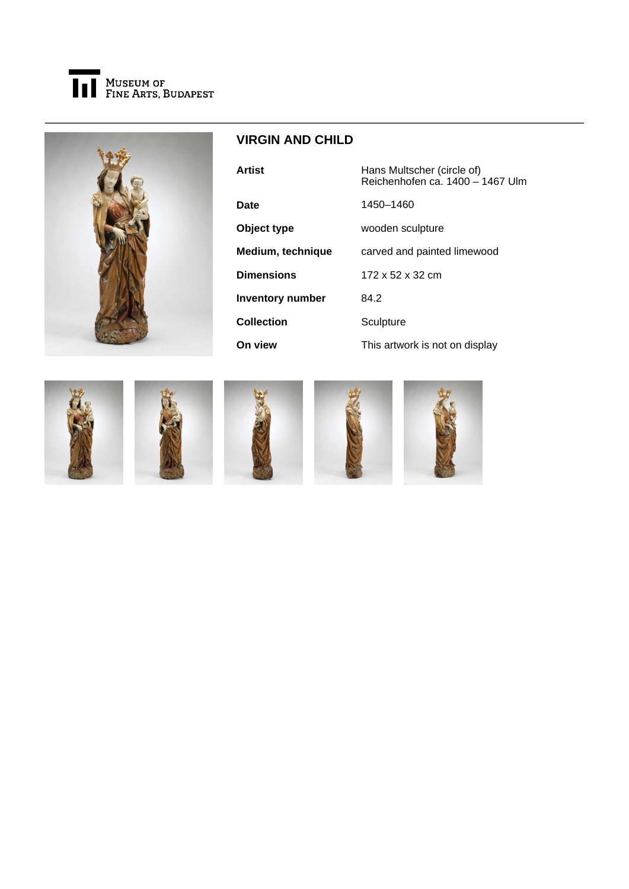



## **VIRGIN AND CHILD**

| <b>Artist</b>           | Hans Multscher (circle of)<br>Reichenhofen ca. 1400 - 1467 Ulm |
|-------------------------|----------------------------------------------------------------|
| Date                    | 1450-1460                                                      |
| Object type             | wooden sculpture                                               |
| Medium, technique       | carved and painted limewood                                    |
| <b>Dimensions</b>       | 172 x 52 x 32 cm                                               |
| <b>Inventory number</b> | 84.2                                                           |
| <b>Collection</b>       | Sculpture                                                      |
| On view                 | This artwork is not on display                                 |